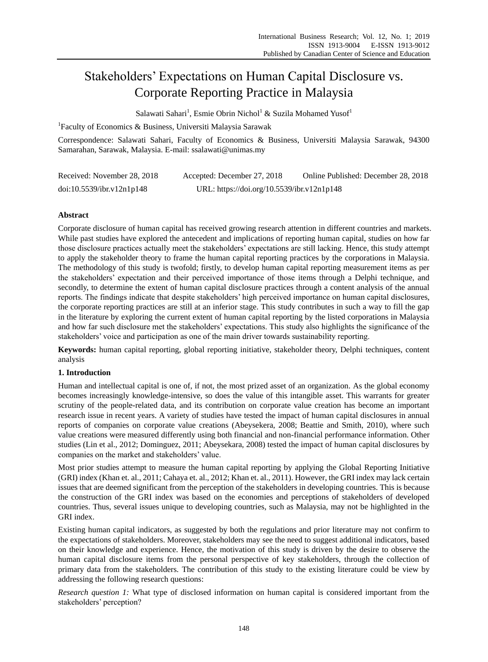# Stakeholders" Expectations on Human Capital Disclosure vs. Corporate Reporting Practice in Malaysia

Salawati Sahari<sup>1</sup>, Esmie Obrin Nichol<sup>1</sup> & Suzila Mohamed Yusof<sup>1</sup>

<sup>1</sup>Faculty of Economics & Business, Universiti Malaysia Sarawak

Correspondence: Salawati Sahari, Faculty of Economics & Business, Universiti Malaysia Sarawak, 94300 Samarahan, Sarawak, Malaysia. E-mail: ssalawati@unimas.my

| Received: November 28, 2018 | Accepted: December 27, 2018                | Online Published: December 28, 2018 |
|-----------------------------|--------------------------------------------|-------------------------------------|
| doi:10.5539/ibr.v12n1p148   | URL: https://doi.org/10.5539/ibr.v12n1p148 |                                     |

# **Abstract**

Corporate disclosure of human capital has received growing research attention in different countries and markets. While past studies have explored the antecedent and implications of reporting human capital, studies on how far those disclosure practices actually meet the stakeholders" expectations are still lacking. Hence, this study attempt to apply the stakeholder theory to frame the human capital reporting practices by the corporations in Malaysia. The methodology of this study is twofold; firstly, to develop human capital reporting measurement items as per the stakeholders" expectation and their perceived importance of those items through a Delphi technique, and secondly, to determine the extent of human capital disclosure practices through a content analysis of the annual reports. The findings indicate that despite stakeholders" high perceived importance on human capital disclosures, the corporate reporting practices are still at an inferior stage. This study contributes in such a way to fill the gap in the literature by exploring the current extent of human capital reporting by the listed corporations in Malaysia and how far such disclosure met the stakeholders" expectations. This study also highlights the significance of the stakeholders" voice and participation as one of the main driver towards sustainability reporting.

**Keywords:** human capital reporting, global reporting initiative, stakeholder theory, Delphi techniques, content analysis

# **1. Introduction**

Human and intellectual capital is one of, if not, the most prized asset of an organization. As the global economy becomes increasingly knowledge-intensive, so does the value of this intangible asset. This warrants for greater scrutiny of the people-related data, and its contribution on corporate value creation has become an important research issue in recent years. A variety of studies have tested the impact of human capital disclosures in annual reports of companies on corporate value creations (Abeysekera, 2008; Beattie and Smith, 2010), where such value creations were measured differently using both financial and non-financial performance information. Other studies (Lin et al., 2012; Dominguez, 2011; Abeysekara, 2008) tested the impact of human capital disclosures by companies on the market and stakeholders" value.

Most prior studies attempt to measure the human capital reporting by applying the Global Reporting Initiative (GRI) index (Khan et. al., 2011; Cahaya et. al., 2012; Khan et. al., 2011). However, the GRI index may lack certain issues that are deemed significant from the perception of the stakeholders in developing countries. This is because the construction of the GRI index was based on the economies and perceptions of stakeholders of developed countries. Thus, several issues unique to developing countries, such as Malaysia, may not be highlighted in the GRI index.

Existing human capital indicators, as suggested by both the regulations and prior literature may not confirm to the expectations of stakeholders. Moreover, stakeholders may see the need to suggest additional indicators, based on their knowledge and experience. Hence, the motivation of this study is driven by the desire to observe the human capital disclosure items from the personal perspective of key stakeholders, through the collection of primary data from the stakeholders. The contribution of this study to the existing literature could be view by addressing the following research questions:

*Research question 1:* What type of disclosed information on human capital is considered important from the stakeholders' perception?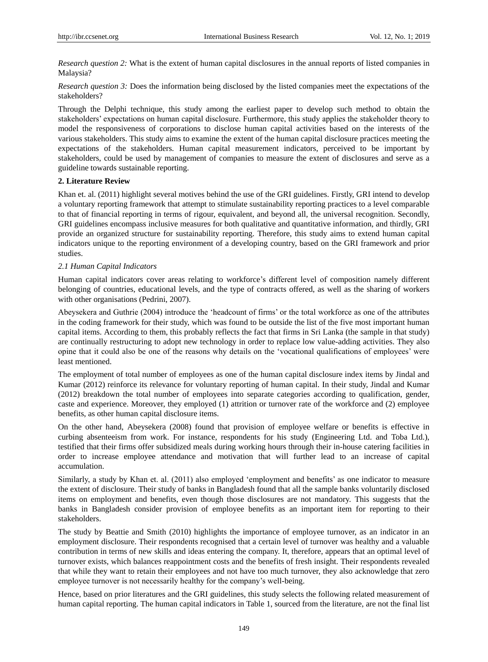*Research question 2:* What is the extent of human capital disclosures in the annual reports of listed companies in Malaysia?

*Research question 3:* Does the information being disclosed by the listed companies meet the expectations of the stakeholders?

Through the Delphi technique, this study among the earliest paper to develop such method to obtain the stakeholders" expectations on human capital disclosure. Furthermore, this study applies the stakeholder theory to model the responsiveness of corporations to disclose human capital activities based on the interests of the various stakeholders. This study aims to examine the extent of the human capital disclosure practices meeting the expectations of the stakeholders. Human capital measurement indicators, perceived to be important by stakeholders, could be used by management of companies to measure the extent of disclosures and serve as a guideline towards sustainable reporting.

#### **2. Literature Review**

Khan et. al. (2011) highlight several motives behind the use of the GRI guidelines. Firstly, GRI intend to develop a voluntary reporting framework that attempt to stimulate sustainability reporting practices to a level comparable to that of financial reporting in terms of rigour, equivalent, and beyond all, the universal recognition. Secondly, GRI guidelines encompass inclusive measures for both qualitative and quantitative information, and thirdly, GRI provide an organized structure for sustainability reporting. Therefore, this study aims to extend human capital indicators unique to the reporting environment of a developing country, based on the GRI framework and prior studies.

## *2.1 Human Capital Indicators*

Human capital indicators cover areas relating to workforce"s different level of composition namely different belonging of countries, educational levels, and the type of contracts offered, as well as the sharing of workers with other organisations (Pedrini, 2007).

Abeysekera and Guthrie (2004) introduce the "headcount of firms" or the total workforce as one of the attributes in the coding framework for their study, which was found to be outside the list of the five most important human capital items. According to them, this probably reflects the fact that firms in Sri Lanka (the sample in that study) are continually restructuring to adopt new technology in order to replace low value-adding activities. They also opine that it could also be one of the reasons why details on the "vocational qualifications of employees" were least mentioned.

The employment of total number of employees as one of the human capital disclosure index items by Jindal and Kumar (2012) reinforce its relevance for voluntary reporting of human capital. In their study, Jindal and Kumar (2012) breakdown the total number of employees into separate categories according to qualification, gender, caste and experience. Moreover, they employed (1) attrition or turnover rate of the workforce and (2) employee benefits, as other human capital disclosure items.

On the other hand, Abeysekera (2008) found that provision of employee welfare or benefits is effective in curbing absenteeism from work. For instance, respondents for his study (Engineering Ltd. and Toba Ltd.), testified that their firms offer subsidized meals during working hours through their in-house catering facilities in order to increase employee attendance and motivation that will further lead to an increase of capital accumulation.

Similarly, a study by Khan et. al. (2011) also employed "employment and benefits" as one indicator to measure the extent of disclosure. Their study of banks in Bangladesh found that all the sample banks voluntarily disclosed items on employment and benefits, even though those disclosures are not mandatory. This suggests that the banks in Bangladesh consider provision of employee benefits as an important item for reporting to their stakeholders.

The study by Beattie and Smith (2010) highlights the importance of employee turnover, as an indicator in an employment disclosure. Their respondents recognised that a certain level of turnover was healthy and a valuable contribution in terms of new skills and ideas entering the company. It, therefore, appears that an optimal level of turnover exists, which balances reappointment costs and the benefits of fresh insight. Their respondents revealed that while they want to retain their employees and not have too much turnover, they also acknowledge that zero employee turnover is not necessarily healthy for the company"s well-being.

Hence, based on prior literatures and the GRI guidelines, this study selects the following related measurement of human capital reporting. The human capital indicators in Table 1, sourced from the literature, are not the final list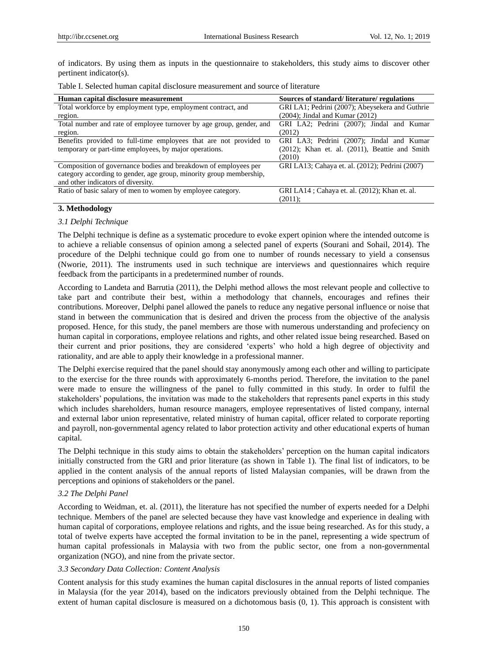of indicators. By using them as inputs in the questionnaire to stakeholders, this study aims to discover other pertinent indicator(s).

| Human capital disclosure measurement                                 | Sources of standard/literature/regulations           |
|----------------------------------------------------------------------|------------------------------------------------------|
| Total workforce by employment type, employment contract, and         | GRI LA1; Pedrini (2007); Abeysekera and Guthrie      |
| region.                                                              | $(2004)$ ; Jindal and Kumar $(2012)$                 |
| Total number and rate of employee turnover by age group, gender, and | GRI LA2; Pedrini (2007); Jindal and Kumar            |
| region.                                                              | (2012)                                               |
| Benefits provided to full-time employees that are not provided to    | GRI LA3; Pedrini (2007); Jindal and Kumar            |
| temporary or part-time employees, by major operations.               | $(2012)$ ; Khan et. al. $(2011)$ , Beattie and Smith |
|                                                                      | (2010)                                               |
| Composition of governance bodies and breakdown of employees per      | GRI LA13; Cahaya et. al. (2012); Pedrini (2007)      |
| category according to gender, age group, minority group membership,  |                                                      |
| and other indicators of diversity.                                   |                                                      |
| Ratio of basic salary of men to women by employee category.          | GRI LA14; Cahaya et. al. (2012); Khan et. al.        |
|                                                                      | $(2011)$ :                                           |

Table I. Selected human capital disclosure measurement and source of literature

#### **3. Methodology**

#### *3.1 Delphi Technique*

The Delphi technique is define as a systematic procedure to evoke expert opinion where the intended outcome is to achieve a reliable consensus of opinion among a selected panel of experts (Sourani and Sohail, 2014). The procedure of the Delphi technique could go from one to number of rounds necessary to yield a consensus (Nworie, 2011). The instruments used in such technique are interviews and questionnaires which require feedback from the participants in a predetermined number of rounds.

According to Landeta and Barrutia (2011), the Delphi method allows the most relevant people and collective to take part and contribute their best, within a methodology that channels, encourages and refines their contributions. Moreover, Delphi panel allowed the panels to reduce any negative personal influence or noise that stand in between the communication that is desired and driven the process from the objective of the analysis proposed. Hence, for this study, the panel members are those with numerous understanding and profeciency on human capital in corporations, employee relations and rights, and other related issue being researched. Based on their current and prior positions, they are considered "experts" who hold a high degree of objectivity and rationality, and are able to apply their knowledge in a professional manner.

The Delphi exercise required that the panel should stay anonymously among each other and willing to participate to the exercise for the three rounds with approximately 6-months period. Therefore, the invitation to the panel were made to ensure the willingness of the panel to fully committed in this study. In order to fulfil the stakeholders' populations, the invitation was made to the stakeholders that represents panel experts in this study which includes shareholders, human resource managers, employee representatives of listed company, internal and external labor union representative, related ministry of human capital, officer related to corporate reporting and payroll, non-governmental agency related to labor protection activity and other educational experts of human capital.

The Delphi technique in this study aims to obtain the stakeholders" perception on the human capital indicators initially constructed from the GRI and prior literature (as shown in Table 1). The final list of indicators, to be applied in the content analysis of the annual reports of listed Malaysian companies, will be drawn from the perceptions and opinions of stakeholders or the panel.

#### *3.2 The Delphi Panel*

According to Weidman, et. al. (2011), the literature has not specified the number of experts needed for a Delphi technique. Members of the panel are selected because they have vast knowledge and experience in dealing with human capital of corporations, employee relations and rights, and the issue being researched. As for this study, a total of twelve experts have accepted the formal invitation to be in the panel, representing a wide spectrum of human capital professionals in Malaysia with two from the public sector, one from a non-governmental organization (NGO), and nine from the private sector.

#### *3.3 Secondary Data Collection: Content Analysis*

Content analysis for this study examines the human capital disclosures in the annual reports of listed companies in Malaysia (for the year 2014), based on the indicators previously obtained from the Delphi technique. The extent of human capital disclosure is measured on a dichotomous basis (0, 1). This approach is consistent with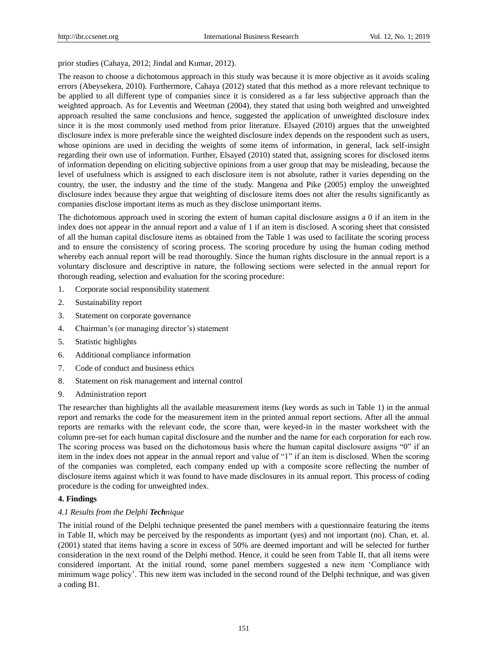prior studies (Cahaya, 2012; Jindal and Kumar, 2012).

The reason to choose a dichotomous approach in this study was because it is more objective as it avoids scaling errors (Abeysekera, 2010). Furthermore, Cahaya (2012) stated that this method as a more relevant technique to be applied to all different type of companies since it is considered as a far less subjective approach than the weighted approach. As for Leventis and Weetman (2004), they stated that using both weighted and unweighted approach resulted the same conclusions and hence, suggested the application of unweighted disclosure index since it is the most commonly used method from prior literature. Elsayed (2010) argues that the unweighted disclosure index is more preferable since the weighted disclosure index depends on the respondent such as users, whose opinions are used in deciding the weights of some items of information, in general, lack self-insight regarding their own use of information. Further, Elsayed (2010) stated that, assigning scores for disclosed items of information depending on eliciting subjective opinions from a user group that may be misleading, because the level of usefulness which is assigned to each disclosure item is not absolute, rather it varies depending on the country, the user, the industry and the time of the study. Mangena and Pike (2005) employ the unweighted disclosure index because they argue that weighting of disclosure items does not alter the results significantly as companies disclose important items as much as they disclose unimportant items.

The dichotomous approach used in scoring the extent of human capital disclosure assigns a 0 if an item in the index does not appear in the annual report and a value of 1 if an item is disclosed. A scoring sheet that consisted of all the human capital disclosure items as obtained from the Table 1 was used to facilitate the scoring process and to ensure the consistency of scoring process. The scoring procedure by using the human coding method whereby each annual report will be read thoroughly. Since the human rights disclosure in the annual report is a voluntary disclosure and descriptive in nature, the following sections were selected in the annual report for thorough reading, selection and evaluation for the scoring procedure:

- 1. Corporate social responsibility statement
- 2. Sustainability report
- 3. Statement on corporate governance
- 4. Chairman"s (or managing director"s) statement
- 5. Statistic highlights
- 6. Additional compliance information
- 7. Code of conduct and business ethics
- 8. Statement on risk management and internal control
- 9. Administration report

The researcher than highlights all the available measurement items (key words as such in Table 1) in the annual report and remarks the code for the measurement item in the printed annual report sections. After all the annual reports are remarks with the relevant code, the score than, were keyed-in in the master worksheet with the column pre-set for each human capital disclosure and the number and the name for each corporation for each row. The scoring process was based on the dichotomous basis where the human capital disclosure assigns "0" if an item in the index does not appear in the annual report and value of "1" if an item is disclosed. When the scoring of the companies was completed, each company ended up with a composite score reflecting the number of disclosure items against which it was found to have made disclosures in its annual report. This process of coding procedure is the coding for unweighted index.

# **4. Findings**

## *4.1 Results from the Delphi Technique*

The initial round of the Delphi technique presented the panel members with a questionnaire featuring the items in Table II, which may be perceived by the respondents as important (yes) and not important (no). Chan, et. al. (2001) stated that items having a score in excess of 50% are deemed important and will be selected for further consideration in the next round of the Delphi method. Hence, it could be seen from Table II, that all items were considered important. At the initial round, some panel members suggested a new item "Compliance with minimum wage policy". This new item was included in the second round of the Delphi technique, and was given a coding B1.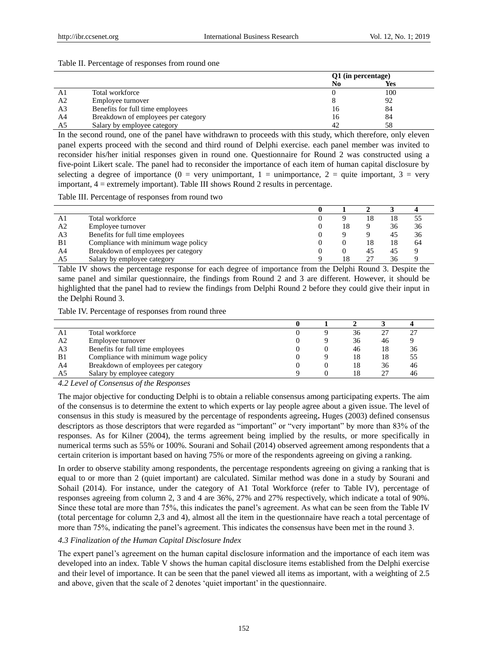#### Table II. Percentage of responses from round one

|                |                                     | Q1 (in percentage) |            |
|----------------|-------------------------------------|--------------------|------------|
|                |                                     | No                 | <b>Yes</b> |
| A.             | Total workforce                     |                    | 100        |
| A2             | Employee turnover                   |                    | 92         |
| A <sub>3</sub> | Benefits for full time employees    | 16                 | 84         |
| A4             | Breakdown of employees per category | 16                 | 84         |
|                | Salary by employee category         | 42                 | 58         |

In the second round, one of the panel have withdrawn to proceeds with this study, which therefore, only eleven panel experts proceed with the second and third round of Delphi exercise. each panel member was invited to reconsider his/her initial responses given in round one. Questionnaire for Round 2 was constructed using a five-point Likert scale. The panel had to reconsider the importance of each item of human capital disclosure by selecting a degree of importance (0 = very unimportant, 1 = unimportance, 2 = quite important, 3 = very important,  $4 =$  extremely important). Table III shows Round 2 results in percentage.

Table III. Percentage of responses from round two

| A1             | Total workforce                     |    | 18 | 18 | 55 |
|----------------|-------------------------------------|----|----|----|----|
| A <sub>2</sub> | Employee turnover                   | 18 |    | 36 | 36 |
| A <sub>3</sub> | Benefits for full time employees    |    |    | 45 | 36 |
| B <sub>1</sub> | Compliance with minimum wage policy |    | 18 | 18 | 64 |
| A4             | Breakdown of employees per category |    | 45 | 45 |    |
| A5             | Salary by employee category         | 18 | 27 | 36 |    |

Table IV shows the percentage response for each degree of importance from the Delphi Round 3. Despite the same panel and similar questionnaire, the findings from Round 2 and 3 are different. However, it should be highlighted that the panel had to review the findings from Delphi Round 2 before they could give their input in the Delphi Round 3.

Table IV. Percentage of responses from round three

| A1             | Total workforce                     |  | 36 |    | $\gamma$ - |
|----------------|-------------------------------------|--|----|----|------------|
| A <sub>2</sub> | Employee turnover                   |  | 36 | 46 |            |
| A <sub>3</sub> | Benefits for full time employees    |  | 46 | 18 | 36         |
| B <sub>1</sub> | Compliance with minimum wage policy |  | 18 | 18 | 55         |
| A4             | Breakdown of employees per category |  | 18 | 36 | 46         |
| A5             | Salary by employee category         |  |    |    | 46         |

*4.2 Level of Consensus of the Responses*

The major objective for conducting Delphi is to obtain a reliable consensus among participating experts. The aim of the consensus is to determine the extent to which experts or lay people agree about a given issue. The level of consensus in this study is measured by the percentage of respondents agreeing**.** Huges (2003) defined consensus descriptors as those descriptors that were regarded as "important" or "very important" by more than 83% of the responses. As for Kilner (2004), the terms agreement being implied by the results, or more specifically in numerical terms such as 55% or 100%. Sourani and Sohail (2014) observed agreement among respondents that a certain criterion is important based on having 75% or more of the respondents agreeing on giving a ranking.

In order to observe stability among respondents, the percentage respondents agreeing on giving a ranking that is equal to or more than 2 (quiet important) are calculated. Similar method was done in a study by Sourani and Sohail (2014). For instance, under the category of A1 Total Workforce (refer to Table IV), percentage of responses agreeing from column 2, 3 and 4 are 36%, 27% and 27% respectively, which indicate a total of 90%. Since these total are more than 75%, this indicates the panel"s agreement. As what can be seen from the Table IV (total percentage for column 2,3 and 4), almost all the item in the questionnaire have reach a total percentage of more than 75%, indicating the panel"s agreement. This indicates the consensus have been met in the round 3.

# *4.3 Finalization of the Human Capital Disclosure Index*

The expert panel"s agreement on the human capital disclosure information and the importance of each item was developed into an index. Table V shows the human capital disclosure items established from the Delphi exercise and their level of importance. It can be seen that the panel viewed all items as important, with a weighting of 2.5 and above, given that the scale of 2 denotes 'quiet important' in the questionnaire.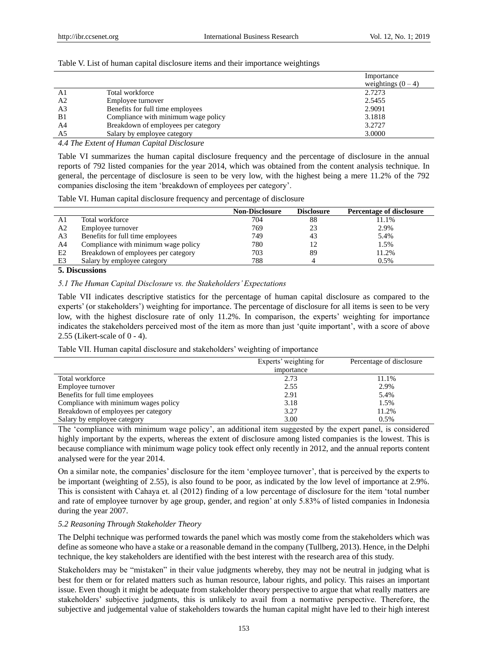|                |                                     | Importance         |
|----------------|-------------------------------------|--------------------|
|                |                                     | weightings $(0-4)$ |
| A1             | Total workforce                     | 2.7273             |
| A <sub>2</sub> | Employee turnover                   | 2.5455             |
| A <sub>3</sub> | Benefits for full time employees    | 2.9091             |
| B1             | Compliance with minimum wage policy | 3.1818             |
| A4             | Breakdown of employees per category | 3.2727             |
| A5             | Salary by employee category         | 3.0000             |

Table V. List of human capital disclosure items and their importance weightings

*4.4 The Extent of Human Capital Disclosure*

Table VI summarizes the human capital disclosure frequency and the percentage of disclosure in the annual reports of 792 listed companies for the year 2014, which was obtained from the content analysis technique. In general, the percentage of disclosure is seen to be very low, with the highest being a mere 11.2% of the 792 companies disclosing the item "breakdown of employees per category".

Table VI. Human capital disclosure frequency and percentage of disclosure

|                |                                     | <b>Non-Disclosure</b> | <b>Disclosure</b> | <b>Percentage of disclosure</b> |
|----------------|-------------------------------------|-----------------------|-------------------|---------------------------------|
| A1             | Total workforce                     | 704                   | 88                | 11.1%                           |
| A <sub>2</sub> | Employee turnover                   | 769                   | 23                | 2.9%                            |
| A <sub>3</sub> | Benefits for full time employees    | 749                   | 43                | 5.4%                            |
| A <sub>4</sub> | Compliance with minimum wage policy | 780                   |                   | 1.5%                            |
| E2             | Breakdown of employees per category | 703                   | 89                | 11.2%                           |
| E3             | Salary by employee category         | 788                   |                   | 0.5%                            |

# **5. Discussions**

## *5.1 The Human Capital Disclosure vs. the Stakeholders' Expectations*

Table VII indicates descriptive statistics for the percentage of human capital disclosure as compared to the experts' (or stakeholders') weighting for importance. The percentage of disclosure for all items is seen to be very low, with the highest disclosure rate of only 11.2%. In comparison, the experts' weighting for importance indicates the stakeholders perceived most of the item as more than just "quite important", with a score of above 2.55 (Likert-scale of 0 - 4).

Table VII. Human capital disclosure and stakeholders' weighting of importance

|                                      | Experts' weighting for | Percentage of disclosure |
|--------------------------------------|------------------------|--------------------------|
|                                      | importance             |                          |
| Total workforce                      | 2.73                   | 11.1%                    |
| Employee turnover                    | 2.55                   | 2.9%                     |
| Benefits for full time employees     | 2.91                   | 5.4%                     |
| Compliance with minimum wages policy | 3.18                   | 1.5%                     |
| Breakdown of employees per category  | 3.27                   | 11.2%                    |
| Salary by employee category          | 3.00                   | 0.5%                     |

The 'compliance with minimum wage policy', an additional item suggested by the expert panel, is considered highly important by the experts, whereas the extent of disclosure among listed companies is the lowest. This is because compliance with minimum wage policy took effect only recently in 2012, and the annual reports content analysed were for the year 2014.

On a similar note, the companies" disclosure for the item "employee turnover", that is perceived by the experts to be important (weighting of 2.55), is also found to be poor, as indicated by the low level of importance at 2.9%. This is consistent with Cahaya et. al (2012) finding of a low percentage of disclosure for the item "total number and rate of employee turnover by age group, gender, and region" at only 5.83% of listed companies in Indonesia during the year 2007.

# *5.2 Reasoning Through Stakeholder Theory*

The Delphi technique was performed towards the panel which was mostly come from the stakeholders which was define as someone who have a stake or a reasonable demand in the company (Tullberg, 2013). Hence, in the Delphi technique, the key stakeholders are identified with the best interest with the research area of this study.

Stakeholders may be "mistaken" in their value judgments whereby, they may not be neutral in judging what is best for them or for related matters such as human resource, labour rights, and policy. This raises an important issue. Even though it might be adequate from stakeholder theory perspective to argue that what really matters are stakeholders" subjective judgments, this is unlikely to avail from a normative perspective. Therefore, the subjective and judgemental value of stakeholders towards the human capital might have led to their high interest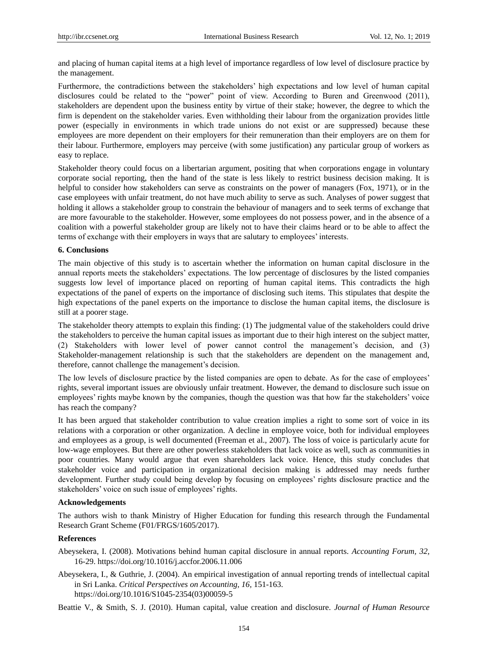and placing of human capital items at a high level of importance regardless of low level of disclosure practice by the management.

Furthermore, the contradictions between the stakeholders" high expectations and low level of human capital disclosures could be related to the "power" point of view. According to Buren and Greenwood (2011), stakeholders are dependent upon the business entity by virtue of their stake; however, the degree to which the firm is dependent on the stakeholder varies. Even withholding their labour from the organization provides little power (especially in environments in which trade unions do not exist or are suppressed) because these employees are more dependent on their employers for their remuneration than their employers are on them for their labour. Furthermore, employers may perceive (with some justification) any particular group of workers as easy to replace.

Stakeholder theory could focus on a libertarian argument, positing that when corporations engage in voluntary corporate social reporting, then the hand of the state is less likely to restrict business decision making. It is helpful to consider how stakeholders can serve as constraints on the power of managers (Fox, 1971), or in the case employees with unfair treatment, do not have much ability to serve as such. Analyses of power suggest that holding it allows a stakeholder group to constrain the behaviour of managers and to seek terms of exchange that are more favourable to the stakeholder. However, some employees do not possess power, and in the absence of a coalition with a powerful stakeholder group are likely not to have their claims heard or to be able to affect the terms of exchange with their employers in ways that are salutary to employees' interests.

#### **6. Conclusions**

The main objective of this study is to ascertain whether the information on human capital disclosure in the annual reports meets the stakeholders" expectations. The low percentage of disclosures by the listed companies suggests low level of importance placed on reporting of human capital items. This contradicts the high expectations of the panel of experts on the importance of disclosing such items. This stipulates that despite the high expectations of the panel experts on the importance to disclose the human capital items, the disclosure is still at a poorer stage.

The stakeholder theory attempts to explain this finding: (1) The judgmental value of the stakeholders could drive the stakeholders to perceive the human capital issues as important due to their high interest on the subject matter, (2) Stakeholders with lower level of power cannot control the management"s decision, and (3) Stakeholder-management relationship is such that the stakeholders are dependent on the management and, therefore, cannot challenge the management's decision.

The low levels of disclosure practice by the listed companies are open to debate. As for the case of employees" rights, several important issues are obviously unfair treatment. However, the demand to disclosure such issue on employees' rights maybe known by the companies, though the question was that how far the stakeholders' voice has reach the company?

It has been argued that stakeholder contribution to value creation implies a right to some sort of voice in its relations with a corporation or other organization. A decline in employee voice, both for individual employees and employees as a group, is well documented (Freeman et al., 2007). The loss of voice is particularly acute for low-wage employees. But there are other powerless stakeholders that lack voice as well, such as communities in poor countries. Many would argue that even shareholders lack voice. Hence, this study concludes that stakeholder voice and participation in organizational decision making is addressed may needs further development. Further study could being develop by focusing on employees' rights disclosure practice and the stakeholders' voice on such issue of employees' rights.

# **Acknowledgements**

The authors wish to thank Ministry of Higher Education for funding this research through the Fundamental Research Grant Scheme (F01/FRGS/1605/2017).

#### **References**

- Abeysekera, I. (2008). Motivations behind human capital disclosure in annual reports. *Accounting Forum, 32,*  16-29. https://doi.org/10.1016/j.accfor.2006.11.006
- Abeysekera, I., & Guthrie, J. (2004). An empirical investigation of annual reporting trends of intellectual capital in Sri Lanka. *Critical Perspectives on Accounting, 16,* 151-163. https://doi.org/10.1016/S1045-2354(03)00059-5

Beattie V., & Smith, S. J. (2010). Human capital, value creation and disclosure. *Journal of Human Resource*